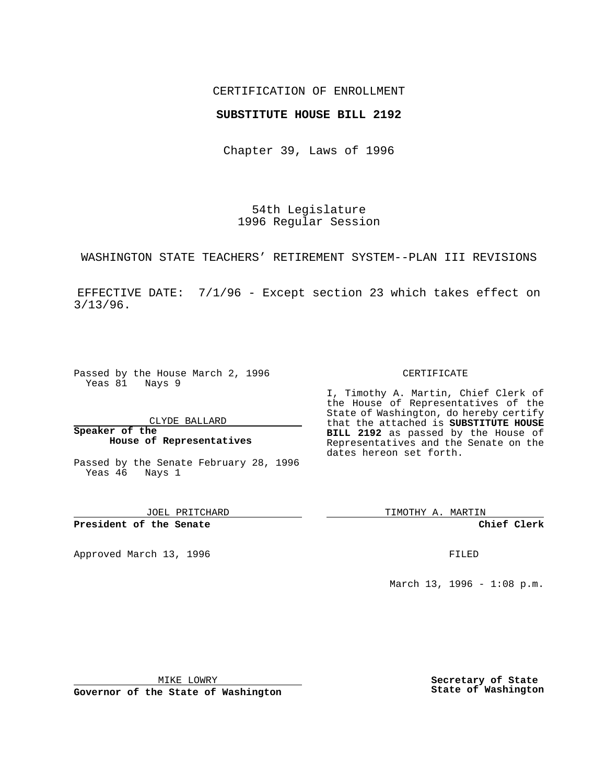## CERTIFICATION OF ENROLLMENT

## **SUBSTITUTE HOUSE BILL 2192**

Chapter 39, Laws of 1996

54th Legislature 1996 Regular Session

WASHINGTON STATE TEACHERS' RETIREMENT SYSTEM--PLAN III REVISIONS

EFFECTIVE DATE: 7/1/96 - Except section 23 which takes effect on 3/13/96.

Passed by the House March 2, 1996 Yeas 81 Nays 9

CLYDE BALLARD

**Speaker of the House of Representatives**

Passed by the Senate February 28, 1996 Yeas 46 Nays 1

JOEL PRITCHARD

**President of the Senate**

Approved March 13, 1996 **FILED** 

#### CERTIFICATE

I, Timothy A. Martin, Chief Clerk of the House of Representatives of the State of Washington, do hereby certify that the attached is **SUBSTITUTE HOUSE BILL 2192** as passed by the House of Representatives and the Senate on the dates hereon set forth.

TIMOTHY A. MARTIN

**Chief Clerk**

March 13, 1996 - 1:08 p.m.

MIKE LOWRY

**Governor of the State of Washington**

**Secretary of State State of Washington**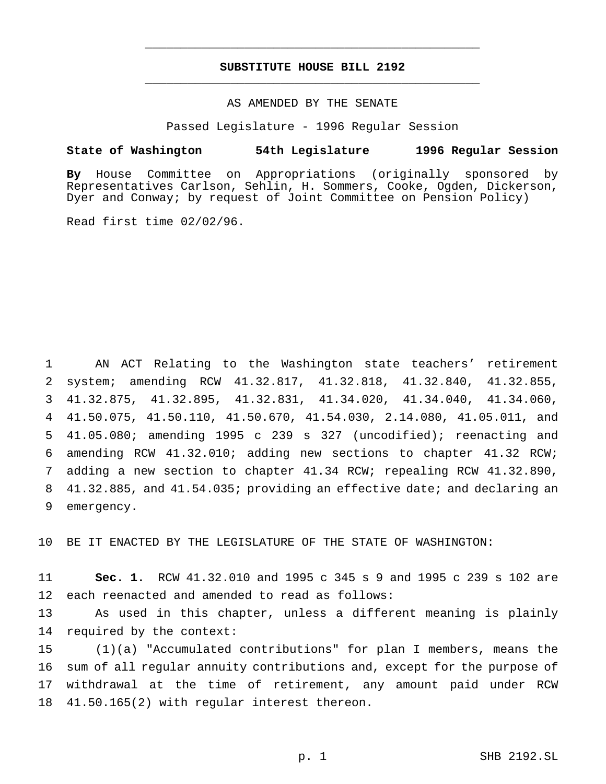# **SUBSTITUTE HOUSE BILL 2192** \_\_\_\_\_\_\_\_\_\_\_\_\_\_\_\_\_\_\_\_\_\_\_\_\_\_\_\_\_\_\_\_\_\_\_\_\_\_\_\_\_\_\_\_\_\_\_

\_\_\_\_\_\_\_\_\_\_\_\_\_\_\_\_\_\_\_\_\_\_\_\_\_\_\_\_\_\_\_\_\_\_\_\_\_\_\_\_\_\_\_\_\_\_\_

# AS AMENDED BY THE SENATE

Passed Legislature - 1996 Regular Session

#### **State of Washington 54th Legislature 1996 Regular Session**

**By** House Committee on Appropriations (originally sponsored by Representatives Carlson, Sehlin, H. Sommers, Cooke, Ogden, Dickerson, Dyer and Conway; by request of Joint Committee on Pension Policy)

Read first time 02/02/96.

 AN ACT Relating to the Washington state teachers' retirement system; amending RCW 41.32.817, 41.32.818, 41.32.840, 41.32.855, 41.32.875, 41.32.895, 41.32.831, 41.34.020, 41.34.040, 41.34.060, 41.50.075, 41.50.110, 41.50.670, 41.54.030, 2.14.080, 41.05.011, and 41.05.080; amending 1995 c 239 s 327 (uncodified); reenacting and amending RCW 41.32.010; adding new sections to chapter 41.32 RCW; adding a new section to chapter 41.34 RCW; repealing RCW 41.32.890, 41.32.885, and 41.54.035; providing an effective date; and declaring an emergency.

BE IT ENACTED BY THE LEGISLATURE OF THE STATE OF WASHINGTON:

 **Sec. 1.** RCW 41.32.010 and 1995 c 345 s 9 and 1995 c 239 s 102 are each reenacted and amended to read as follows:

 As used in this chapter, unless a different meaning is plainly required by the context:

 (1)(a) "Accumulated contributions" for plan I members, means the sum of all regular annuity contributions and, except for the purpose of withdrawal at the time of retirement, any amount paid under RCW 41.50.165(2) with regular interest thereon.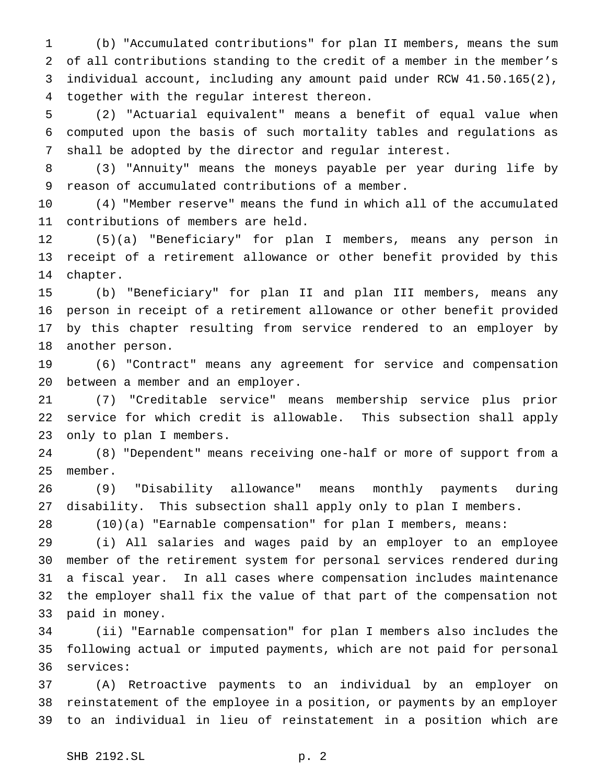(b) "Accumulated contributions" for plan II members, means the sum of all contributions standing to the credit of a member in the member's individual account, including any amount paid under RCW 41.50.165(2), together with the regular interest thereon.

 (2) "Actuarial equivalent" means a benefit of equal value when computed upon the basis of such mortality tables and regulations as shall be adopted by the director and regular interest.

 (3) "Annuity" means the moneys payable per year during life by reason of accumulated contributions of a member.

 (4) "Member reserve" means the fund in which all of the accumulated contributions of members are held.

 (5)(a) "Beneficiary" for plan I members, means any person in receipt of a retirement allowance or other benefit provided by this chapter.

 (b) "Beneficiary" for plan II and plan III members, means any person in receipt of a retirement allowance or other benefit provided by this chapter resulting from service rendered to an employer by another person.

 (6) "Contract" means any agreement for service and compensation between a member and an employer.

 (7) "Creditable service" means membership service plus prior service for which credit is allowable. This subsection shall apply only to plan I members.

 (8) "Dependent" means receiving one-half or more of support from a member.

 (9) "Disability allowance" means monthly payments during disability. This subsection shall apply only to plan I members.

(10)(a) "Earnable compensation" for plan I members, means:

 (i) All salaries and wages paid by an employer to an employee member of the retirement system for personal services rendered during a fiscal year. In all cases where compensation includes maintenance the employer shall fix the value of that part of the compensation not paid in money.

 (ii) "Earnable compensation" for plan I members also includes the following actual or imputed payments, which are not paid for personal services:

 (A) Retroactive payments to an individual by an employer on reinstatement of the employee in a position, or payments by an employer to an individual in lieu of reinstatement in a position which are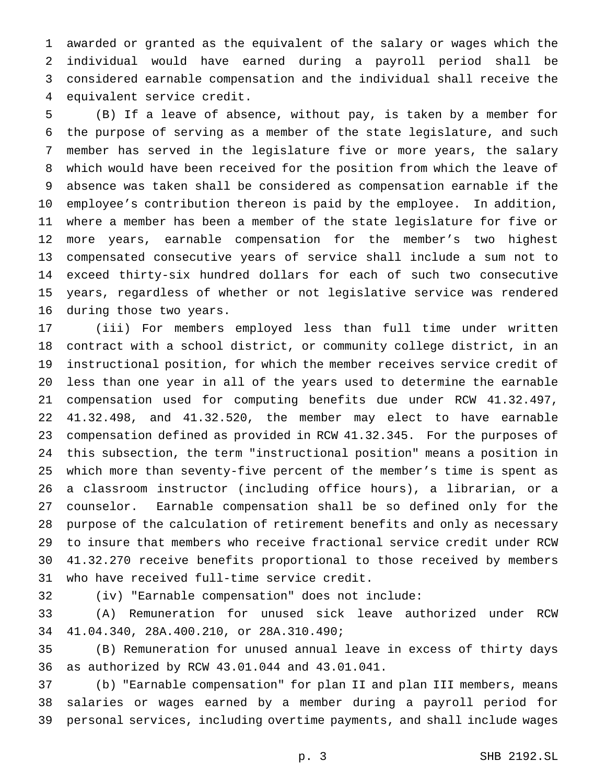awarded or granted as the equivalent of the salary or wages which the individual would have earned during a payroll period shall be considered earnable compensation and the individual shall receive the equivalent service credit.

 (B) If a leave of absence, without pay, is taken by a member for the purpose of serving as a member of the state legislature, and such member has served in the legislature five or more years, the salary which would have been received for the position from which the leave of absence was taken shall be considered as compensation earnable if the employee's contribution thereon is paid by the employee. In addition, where a member has been a member of the state legislature for five or more years, earnable compensation for the member's two highest compensated consecutive years of service shall include a sum not to exceed thirty-six hundred dollars for each of such two consecutive years, regardless of whether or not legislative service was rendered during those two years.

 (iii) For members employed less than full time under written contract with a school district, or community college district, in an instructional position, for which the member receives service credit of less than one year in all of the years used to determine the earnable compensation used for computing benefits due under RCW 41.32.497, 41.32.498, and 41.32.520, the member may elect to have earnable compensation defined as provided in RCW 41.32.345. For the purposes of this subsection, the term "instructional position" means a position in which more than seventy-five percent of the member's time is spent as a classroom instructor (including office hours), a librarian, or a counselor. Earnable compensation shall be so defined only for the purpose of the calculation of retirement benefits and only as necessary to insure that members who receive fractional service credit under RCW 41.32.270 receive benefits proportional to those received by members who have received full-time service credit.

(iv) "Earnable compensation" does not include:

 (A) Remuneration for unused sick leave authorized under RCW 41.04.340, 28A.400.210, or 28A.310.490;

 (B) Remuneration for unused annual leave in excess of thirty days as authorized by RCW 43.01.044 and 43.01.041.

 (b) "Earnable compensation" for plan II and plan III members, means salaries or wages earned by a member during a payroll period for personal services, including overtime payments, and shall include wages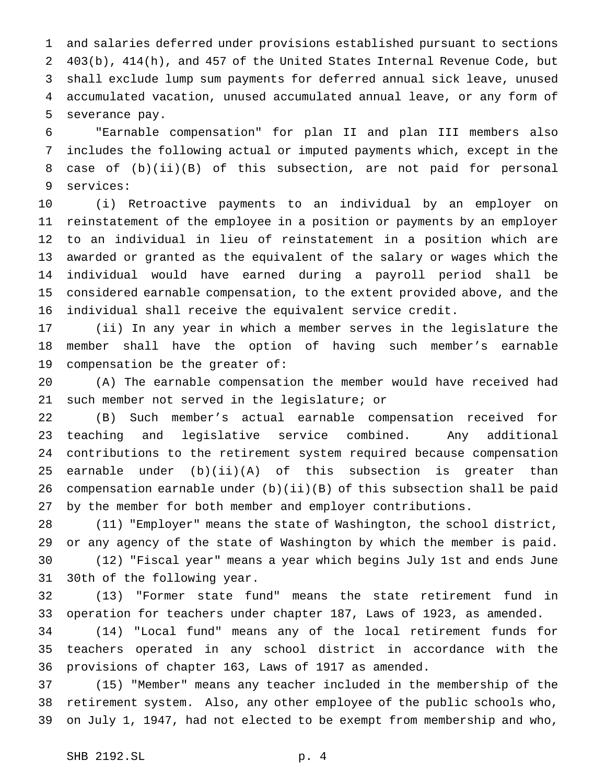and salaries deferred under provisions established pursuant to sections 403(b), 414(h), and 457 of the United States Internal Revenue Code, but shall exclude lump sum payments for deferred annual sick leave, unused accumulated vacation, unused accumulated annual leave, or any form of severance pay.

 "Earnable compensation" for plan II and plan III members also includes the following actual or imputed payments which, except in the case of (b)(ii)(B) of this subsection, are not paid for personal services:

 (i) Retroactive payments to an individual by an employer on reinstatement of the employee in a position or payments by an employer to an individual in lieu of reinstatement in a position which are awarded or granted as the equivalent of the salary or wages which the individual would have earned during a payroll period shall be considered earnable compensation, to the extent provided above, and the individual shall receive the equivalent service credit.

 (ii) In any year in which a member serves in the legislature the member shall have the option of having such member's earnable compensation be the greater of:

 (A) The earnable compensation the member would have received had such member not served in the legislature; or

 (B) Such member's actual earnable compensation received for teaching and legislative service combined. Any additional contributions to the retirement system required because compensation earnable under (b)(ii)(A) of this subsection is greater than compensation earnable under (b)(ii)(B) of this subsection shall be paid by the member for both member and employer contributions.

 (11) "Employer" means the state of Washington, the school district, or any agency of the state of Washington by which the member is paid. (12) "Fiscal year" means a year which begins July 1st and ends June 30th of the following year.

 (13) "Former state fund" means the state retirement fund in operation for teachers under chapter 187, Laws of 1923, as amended.

 (14) "Local fund" means any of the local retirement funds for teachers operated in any school district in accordance with the provisions of chapter 163, Laws of 1917 as amended.

 (15) "Member" means any teacher included in the membership of the retirement system. Also, any other employee of the public schools who, on July 1, 1947, had not elected to be exempt from membership and who,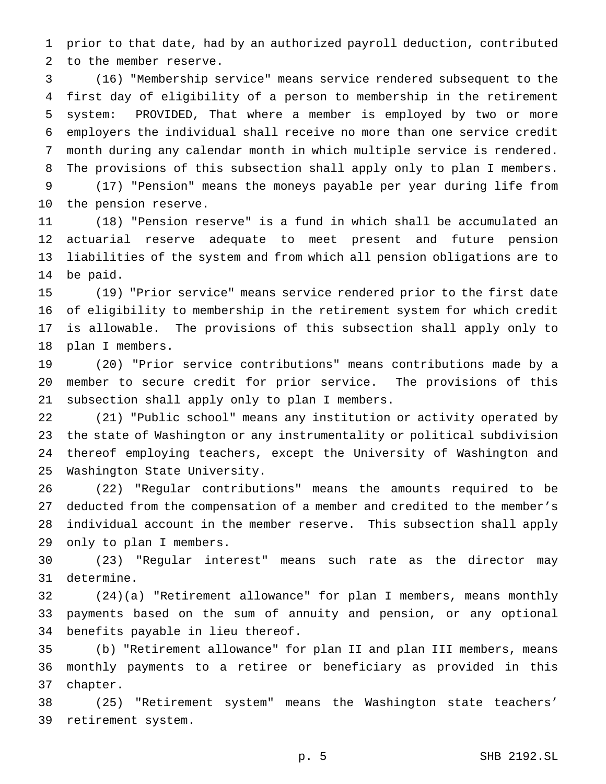prior to that date, had by an authorized payroll deduction, contributed to the member reserve.

 (16) "Membership service" means service rendered subsequent to the first day of eligibility of a person to membership in the retirement system: PROVIDED, That where a member is employed by two or more employers the individual shall receive no more than one service credit month during any calendar month in which multiple service is rendered. The provisions of this subsection shall apply only to plan I members. (17) "Pension" means the moneys payable per year during life from

the pension reserve.

 (18) "Pension reserve" is a fund in which shall be accumulated an actuarial reserve adequate to meet present and future pension liabilities of the system and from which all pension obligations are to be paid.

 (19) "Prior service" means service rendered prior to the first date of eligibility to membership in the retirement system for which credit is allowable. The provisions of this subsection shall apply only to plan I members.

 (20) "Prior service contributions" means contributions made by a member to secure credit for prior service. The provisions of this subsection shall apply only to plan I members.

 (21) "Public school" means any institution or activity operated by the state of Washington or any instrumentality or political subdivision thereof employing teachers, except the University of Washington and Washington State University.

 (22) "Regular contributions" means the amounts required to be deducted from the compensation of a member and credited to the member's individual account in the member reserve. This subsection shall apply only to plan I members.

 (23) "Regular interest" means such rate as the director may determine.

 (24)(a) "Retirement allowance" for plan I members, means monthly payments based on the sum of annuity and pension, or any optional benefits payable in lieu thereof.

 (b) "Retirement allowance" for plan II and plan III members, means monthly payments to a retiree or beneficiary as provided in this chapter.

 (25) "Retirement system" means the Washington state teachers' retirement system.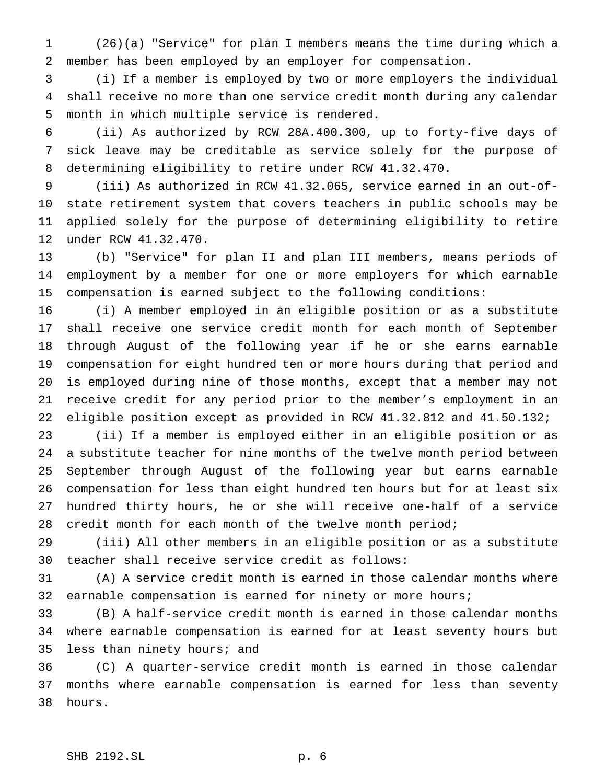(26)(a) "Service" for plan I members means the time during which a member has been employed by an employer for compensation.

 (i) If a member is employed by two or more employers the individual shall receive no more than one service credit month during any calendar month in which multiple service is rendered.

 (ii) As authorized by RCW 28A.400.300, up to forty-five days of sick leave may be creditable as service solely for the purpose of determining eligibility to retire under RCW 41.32.470.

 (iii) As authorized in RCW 41.32.065, service earned in an out-of- state retirement system that covers teachers in public schools may be applied solely for the purpose of determining eligibility to retire under RCW 41.32.470.

 (b) "Service" for plan II and plan III members, means periods of employment by a member for one or more employers for which earnable compensation is earned subject to the following conditions:

 (i) A member employed in an eligible position or as a substitute shall receive one service credit month for each month of September through August of the following year if he or she earns earnable compensation for eight hundred ten or more hours during that period and is employed during nine of those months, except that a member may not receive credit for any period prior to the member's employment in an eligible position except as provided in RCW 41.32.812 and 41.50.132;

 (ii) If a member is employed either in an eligible position or as a substitute teacher for nine months of the twelve month period between September through August of the following year but earns earnable compensation for less than eight hundred ten hours but for at least six hundred thirty hours, he or she will receive one-half of a service credit month for each month of the twelve month period;

 (iii) All other members in an eligible position or as a substitute teacher shall receive service credit as follows:

 (A) A service credit month is earned in those calendar months where earnable compensation is earned for ninety or more hours;

 (B) A half-service credit month is earned in those calendar months where earnable compensation is earned for at least seventy hours but less than ninety hours; and

 (C) A quarter-service credit month is earned in those calendar months where earnable compensation is earned for less than seventy hours.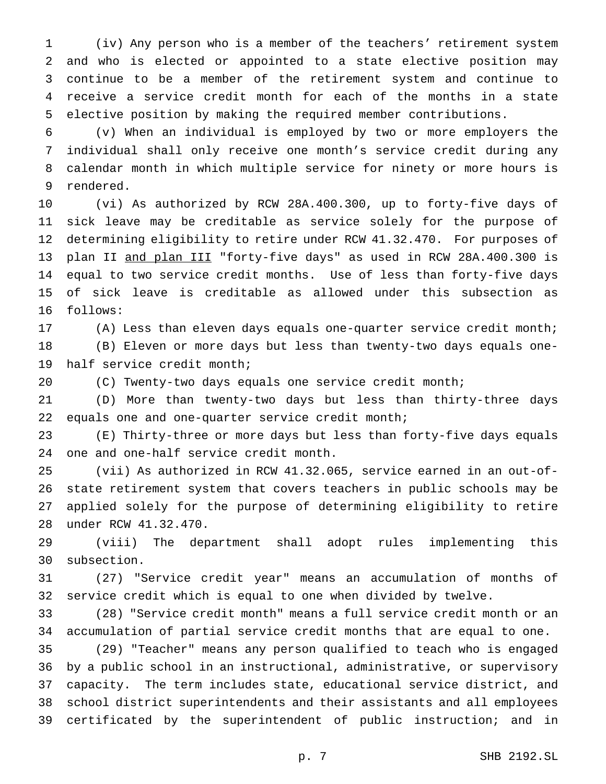(iv) Any person who is a member of the teachers' retirement system and who is elected or appointed to a state elective position may continue to be a member of the retirement system and continue to receive a service credit month for each of the months in a state elective position by making the required member contributions.

 (v) When an individual is employed by two or more employers the individual shall only receive one month's service credit during any calendar month in which multiple service for ninety or more hours is rendered.

 (vi) As authorized by RCW 28A.400.300, up to forty-five days of sick leave may be creditable as service solely for the purpose of determining eligibility to retire under RCW 41.32.470. For purposes of plan II and plan III "forty-five days" as used in RCW 28A.400.300 is equal to two service credit months. Use of less than forty-five days of sick leave is creditable as allowed under this subsection as follows:

 (A) Less than eleven days equals one-quarter service credit month; (B) Eleven or more days but less than twenty-two days equals one-half service credit month;

(C) Twenty-two days equals one service credit month;

 (D) More than twenty-two days but less than thirty-three days equals one and one-quarter service credit month;

 (E) Thirty-three or more days but less than forty-five days equals one and one-half service credit month.

 (vii) As authorized in RCW 41.32.065, service earned in an out-of- state retirement system that covers teachers in public schools may be applied solely for the purpose of determining eligibility to retire under RCW 41.32.470.

 (viii) The department shall adopt rules implementing this subsection.

 (27) "Service credit year" means an accumulation of months of service credit which is equal to one when divided by twelve.

 (28) "Service credit month" means a full service credit month or an accumulation of partial service credit months that are equal to one.

 (29) "Teacher" means any person qualified to teach who is engaged by a public school in an instructional, administrative, or supervisory capacity. The term includes state, educational service district, and school district superintendents and their assistants and all employees certificated by the superintendent of public instruction; and in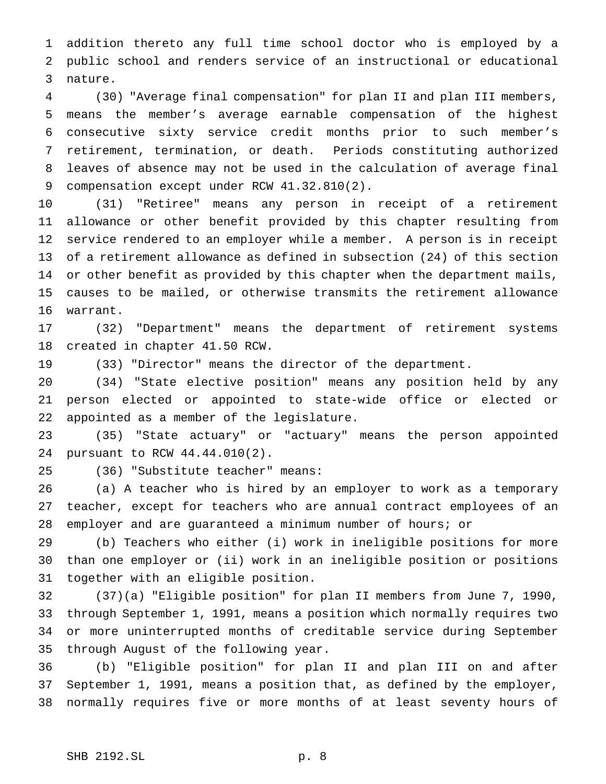addition thereto any full time school doctor who is employed by a public school and renders service of an instructional or educational nature.

 (30) "Average final compensation" for plan II and plan III members, means the member's average earnable compensation of the highest consecutive sixty service credit months prior to such member's retirement, termination, or death. Periods constituting authorized leaves of absence may not be used in the calculation of average final 9 compensation except under RCW 41.32.810(2).

 (31) "Retiree" means any person in receipt of a retirement allowance or other benefit provided by this chapter resulting from service rendered to an employer while a member. A person is in receipt of a retirement allowance as defined in subsection (24) of this section or other benefit as provided by this chapter when the department mails, causes to be mailed, or otherwise transmits the retirement allowance warrant.

 (32) "Department" means the department of retirement systems created in chapter 41.50 RCW.

(33) "Director" means the director of the department.

 (34) "State elective position" means any position held by any person elected or appointed to state-wide office or elected or appointed as a member of the legislature.

 (35) "State actuary" or "actuary" means the person appointed pursuant to RCW 44.44.010(2).

(36) "Substitute teacher" means:

 (a) A teacher who is hired by an employer to work as a temporary teacher, except for teachers who are annual contract employees of an employer and are guaranteed a minimum number of hours; or

 (b) Teachers who either (i) work in ineligible positions for more than one employer or (ii) work in an ineligible position or positions together with an eligible position.

 (37)(a) "Eligible position" for plan II members from June 7, 1990, through September 1, 1991, means a position which normally requires two or more uninterrupted months of creditable service during September through August of the following year.

 (b) "Eligible position" for plan II and plan III on and after September 1, 1991, means a position that, as defined by the employer, normally requires five or more months of at least seventy hours of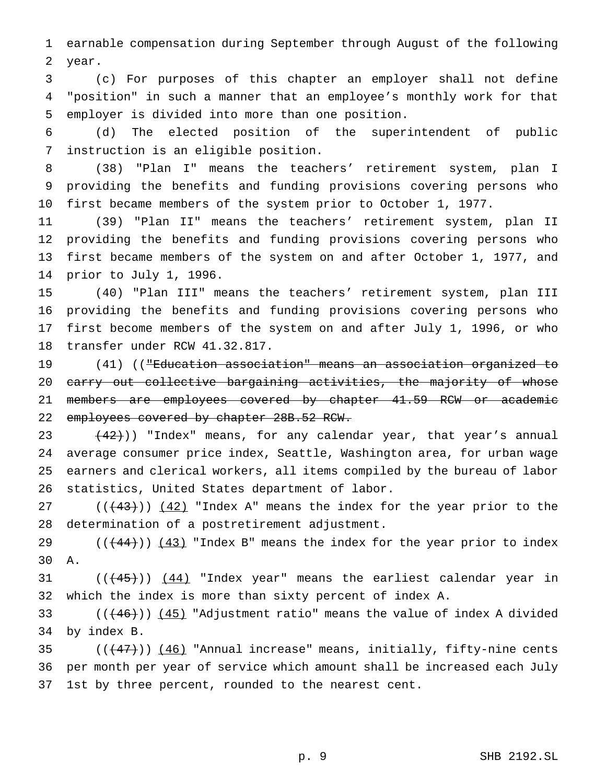earnable compensation during September through August of the following year.

 (c) For purposes of this chapter an employer shall not define "position" in such a manner that an employee's monthly work for that employer is divided into more than one position.

 (d) The elected position of the superintendent of public instruction is an eligible position.

 (38) "Plan I" means the teachers' retirement system, plan I providing the benefits and funding provisions covering persons who first became members of the system prior to October 1, 1977.

 (39) "Plan II" means the teachers' retirement system, plan II providing the benefits and funding provisions covering persons who first became members of the system on and after October 1, 1977, and prior to July 1, 1996.

 (40) "Plan III" means the teachers' retirement system, plan III providing the benefits and funding provisions covering persons who first become members of the system on and after July 1, 1996, or who transfer under RCW 41.32.817.

 (41) (("Education association" means an association organized to 20 carry out collective bargaining activities, the majority of whose members are employees covered by chapter 41.59 RCW or academic employees covered by chapter 28B.52 RCW.

 $(42)$ )) "Index" means, for any calendar year, that year's annual average consumer price index, Seattle, Washington area, for urban wage earners and clerical workers, all items compiled by the bureau of labor statistics, United States department of labor.

 $((+43))$   $(42)$  "Index A" means the index for the year prior to the determination of a postretirement adjustment.

29  $((+44))$   $(43)$  "Index B" means the index for the year prior to index A.

31  $((+45))$   $(44)$  "Index year" means the earliest calendar year in which the index is more than sixty percent of index A.

33  $((+46))$   $(45)$  "Adjustment ratio" means the value of index A divided by index B.

35  $((+47))$   $(46)$  "Annual increase" means, initially, fifty-nine cents per month per year of service which amount shall be increased each July 1st by three percent, rounded to the nearest cent.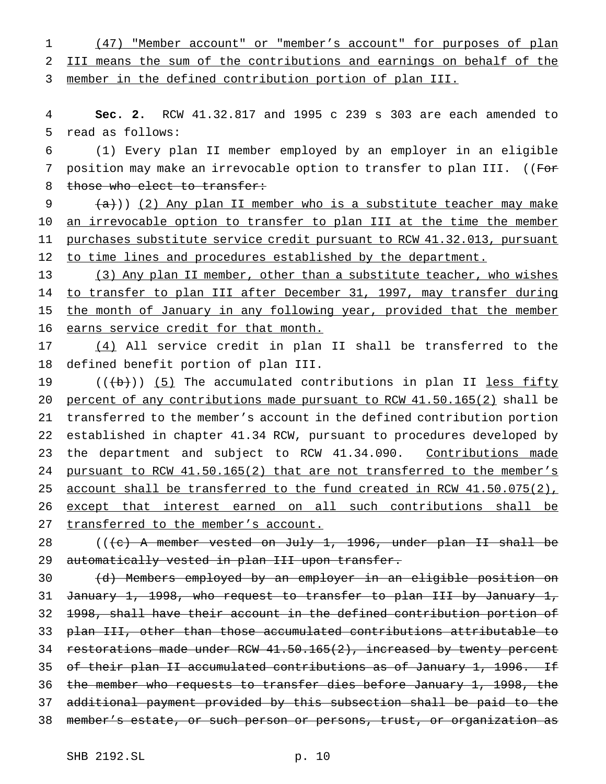1 (47) "Member account" or "member's account" for purposes of plan 2 III means the sum of the contributions and earnings on behalf of the 3 member in the defined contribution portion of plan III.

4 **Sec. 2.** RCW 41.32.817 and 1995 c 239 s 303 are each amended to 5 read as follows:

6 (1) Every plan II member employed by an employer in an eligible 7 position may make an irrevocable option to transfer to plan III. ((For 8 those who elect to transfer:

 $9$   $(a)$ )) (2) Any plan II member who is a substitute teacher may make 10 an irrevocable option to transfer to plan III at the time the member 11 purchases substitute service credit pursuant to RCW 41.32.013, pursuant 12 to time lines and procedures established by the department.

13 (3) Any plan II member, other than a substitute teacher, who wishes 14 to transfer to plan III after December 31, 1997, may transfer during 15 the month of January in any following year, provided that the member 16 earns service credit for that month.

17 (4) All service credit in plan II shall be transferred to the 18 defined benefit portion of plan III.

19  $((\{b\}))(5)$  The accumulated contributions in plan II less fifty 20 percent of any contributions made pursuant to RCW 41.50.165(2) shall be 21 transferred to the member's account in the defined contribution portion 22 established in chapter 41.34 RCW, pursuant to procedures developed by 23 the department and subject to RCW 41.34.090. Contributions made 24 pursuant to RCW 41.50.165(2) that are not transferred to the member's 25 account shall be transferred to the fund created in RCW 41.50.075(2), 26 except that interest earned on all such contributions shall be 27 transferred to the member's account.

28 (((c) A member vested on July 1, 1996, under plan II shall be 29 automatically vested in plan III upon transfer.

 (d) Members employed by an employer in an eligible position on 31 January 1, 1998, who request to transfer to plan III by January 1, 1998, shall have their account in the defined contribution portion of plan III, other than those accumulated contributions attributable to 34 restorations made under RCW 41.50.165(2), increased by twenty percent 35 of their plan II accumulated contributions as of January 1, 1996. If the member who requests to transfer dies before January 1, 1998, the additional payment provided by this subsection shall be paid to the member's estate, or such person or persons, trust, or organization as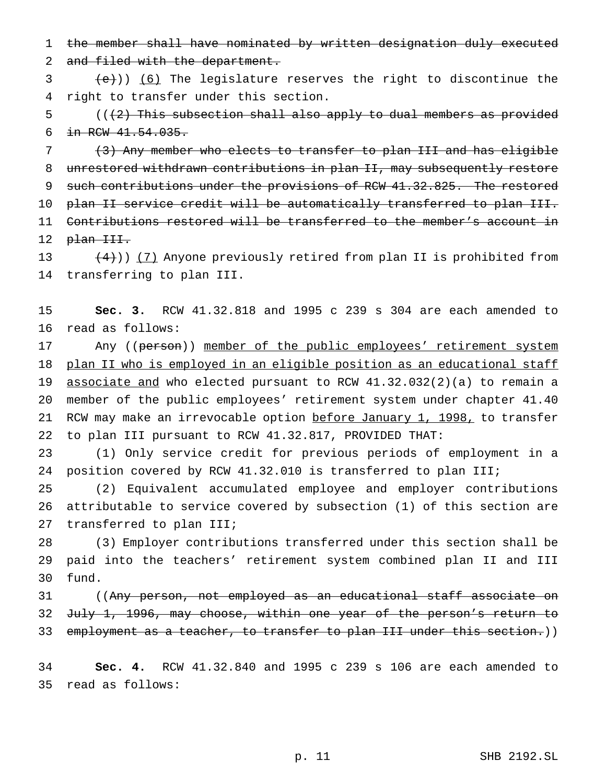the member shall have nominated by written designation duly executed

2 and filed with the department.

 $\left( \frac{1}{e}\right)$  (6) The legislature reserves the right to discontinue the right to transfer under this section.

 ( $(\frac{2}{3})$  This subsection shall also apply to dual members as provided in RCW 41.54.035.

 (3) Any member who elects to transfer to plan III and has eligible unrestored withdrawn contributions in plan II, may subsequently restore 9 such contributions under the provisions of RCW 41.32.825. The restored plan II service credit will be automatically transferred to plan III. Contributions restored will be transferred to the member's account in 12 plan III.

13 (4))) (7) Anyone previously retired from plan II is prohibited from transferring to plan III.

 **Sec. 3.** RCW 41.32.818 and 1995 c 239 s 304 are each amended to read as follows:

17 Any ((person)) member of the public employees' retirement system 18 plan II who is employed in an eligible position as an educational staff associate and who elected pursuant to RCW 41.32.032(2)(a) to remain a member of the public employees' retirement system under chapter 41.40 21 RCW may make an irrevocable option before January 1, 1998, to transfer to plan III pursuant to RCW 41.32.817, PROVIDED THAT:

 (1) Only service credit for previous periods of employment in a position covered by RCW 41.32.010 is transferred to plan III;

 (2) Equivalent accumulated employee and employer contributions attributable to service covered by subsection (1) of this section are transferred to plan III;

 (3) Employer contributions transferred under this section shall be paid into the teachers' retirement system combined plan II and III fund.

 ((Any person, not employed as an educational staff associate on July 1, 1996, may choose, within one year of the person's return to 33 employment as a teacher, to transfer to plan III under this section.))

 **Sec. 4.** RCW 41.32.840 and 1995 c 239 s 106 are each amended to read as follows: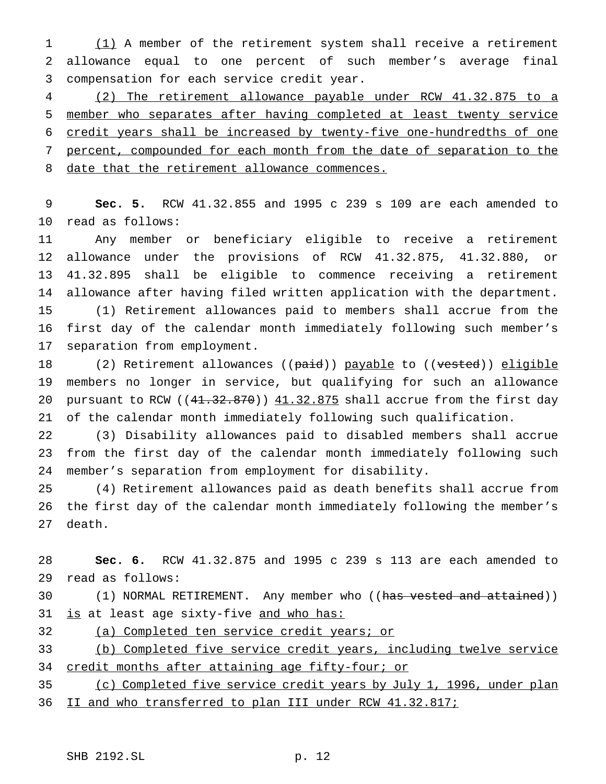(1) A member of the retirement system shall receive a retirement allowance equal to one percent of such member's average final compensation for each service credit year.

 (2) The retirement allowance payable under RCW 41.32.875 to a member who separates after having completed at least twenty service credit years shall be increased by twenty-five one-hundredths of one percent, compounded for each month from the date of separation to the 8 date that the retirement allowance commences.

 **Sec. 5.** RCW 41.32.855 and 1995 c 239 s 109 are each amended to read as follows:

 Any member or beneficiary eligible to receive a retirement allowance under the provisions of RCW 41.32.875, 41.32.880, or 41.32.895 shall be eligible to commence receiving a retirement allowance after having filed written application with the department. (1) Retirement allowances paid to members shall accrue from the first day of the calendar month immediately following such member's separation from employment.

18 (2) Retirement allowances ((paid)) payable to ((vested)) eligible members no longer in service, but qualifying for such an allowance 20 pursuant to RCW  $((41.32.870))$   $41.32.875$  shall accrue from the first day of the calendar month immediately following such qualification.

 (3) Disability allowances paid to disabled members shall accrue from the first day of the calendar month immediately following such member's separation from employment for disability.

 (4) Retirement allowances paid as death benefits shall accrue from the first day of the calendar month immediately following the member's death.

 **Sec. 6.** RCW 41.32.875 and 1995 c 239 s 113 are each amended to read as follows:

30 (1) NORMAL RETIREMENT. Any member who ((has vested and attained)) 31 is at least age sixty-five and who has:

(a) Completed ten service credit years; or

 (b) Completed five service credit years, including twelve service 34 credit months after attaining age fifty-four; or

 (c) Completed five service credit years by July 1, 1996, under plan II and who transferred to plan III under RCW 41.32.817;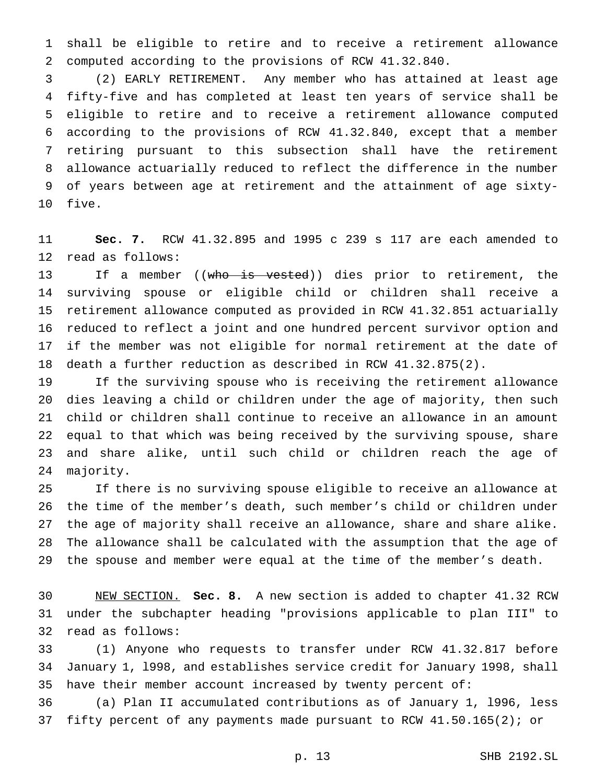shall be eligible to retire and to receive a retirement allowance computed according to the provisions of RCW 41.32.840.

 (2) EARLY RETIREMENT. Any member who has attained at least age fifty-five and has completed at least ten years of service shall be eligible to retire and to receive a retirement allowance computed according to the provisions of RCW 41.32.840, except that a member retiring pursuant to this subsection shall have the retirement allowance actuarially reduced to reflect the difference in the number of years between age at retirement and the attainment of age sixty-five.

 **Sec. 7.** RCW 41.32.895 and 1995 c 239 s 117 are each amended to read as follows:

13 If a member ((who is vested)) dies prior to retirement, the surviving spouse or eligible child or children shall receive a retirement allowance computed as provided in RCW 41.32.851 actuarially reduced to reflect a joint and one hundred percent survivor option and if the member was not eligible for normal retirement at the date of death a further reduction as described in RCW 41.32.875(2).

 If the surviving spouse who is receiving the retirement allowance dies leaving a child or children under the age of majority, then such child or children shall continue to receive an allowance in an amount equal to that which was being received by the surviving spouse, share and share alike, until such child or children reach the age of majority.

 If there is no surviving spouse eligible to receive an allowance at the time of the member's death, such member's child or children under the age of majority shall receive an allowance, share and share alike. The allowance shall be calculated with the assumption that the age of the spouse and member were equal at the time of the member's death.

 NEW SECTION. **Sec. 8.** A new section is added to chapter 41.32 RCW under the subchapter heading "provisions applicable to plan III" to read as follows:

 (1) Anyone who requests to transfer under RCW 41.32.817 before January 1, l998, and establishes service credit for January 1998, shall have their member account increased by twenty percent of:

 (a) Plan II accumulated contributions as of January 1, l996, less fifty percent of any payments made pursuant to RCW 41.50.165(2); or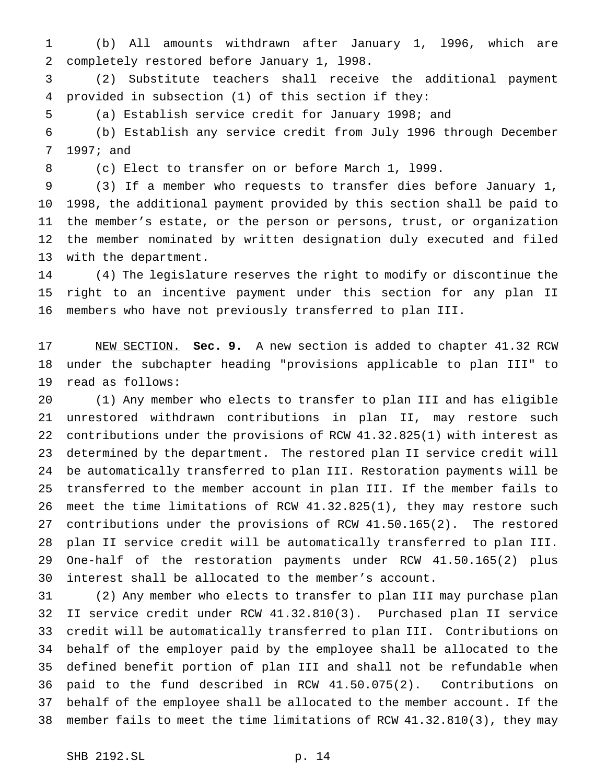(b) All amounts withdrawn after January 1, l996, which are completely restored before January 1, l998.

 (2) Substitute teachers shall receive the additional payment provided in subsection (1) of this section if they:

(a) Establish service credit for January 1998; and

 (b) Establish any service credit from July 1996 through December 1997; and

(c) Elect to transfer on or before March 1, l999.

 (3) If a member who requests to transfer dies before January 1, 1998, the additional payment provided by this section shall be paid to the member's estate, or the person or persons, trust, or organization the member nominated by written designation duly executed and filed with the department.

 (4) The legislature reserves the right to modify or discontinue the right to an incentive payment under this section for any plan II members who have not previously transferred to plan III.

 NEW SECTION. **Sec. 9.** A new section is added to chapter 41.32 RCW under the subchapter heading "provisions applicable to plan III" to read as follows:

 (1) Any member who elects to transfer to plan III and has eligible unrestored withdrawn contributions in plan II, may restore such contributions under the provisions of RCW 41.32.825(1) with interest as determined by the department. The restored plan II service credit will be automatically transferred to plan III. Restoration payments will be transferred to the member account in plan III. If the member fails to meet the time limitations of RCW 41.32.825(1), they may restore such contributions under the provisions of RCW 41.50.165(2). The restored plan II service credit will be automatically transferred to plan III. One-half of the restoration payments under RCW 41.50.165(2) plus interest shall be allocated to the member's account.

 (2) Any member who elects to transfer to plan III may purchase plan II service credit under RCW 41.32.810(3). Purchased plan II service credit will be automatically transferred to plan III. Contributions on behalf of the employer paid by the employee shall be allocated to the defined benefit portion of plan III and shall not be refundable when paid to the fund described in RCW 41.50.075(2). Contributions on behalf of the employee shall be allocated to the member account. If the member fails to meet the time limitations of RCW 41.32.810(3), they may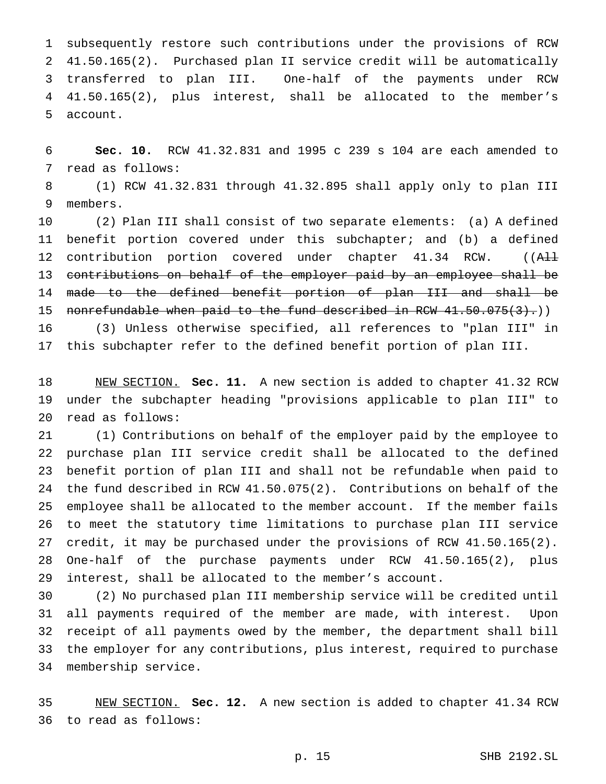subsequently restore such contributions under the provisions of RCW 41.50.165(2). Purchased plan II service credit will be automatically transferred to plan III. One-half of the payments under RCW 41.50.165(2), plus interest, shall be allocated to the member's account.

 **Sec. 10.** RCW 41.32.831 and 1995 c 239 s 104 are each amended to read as follows:

 (1) RCW 41.32.831 through 41.32.895 shall apply only to plan III members.

 (2) Plan III shall consist of two separate elements: (a) A defined benefit portion covered under this subchapter; and (b) a defined 12 contribution portion covered under chapter 41.34 RCW. ((All contributions on behalf of the employer paid by an employee shall be made to the defined benefit portion of plan III and shall be 15 nonrefundable when paid to the fund described in RCW 41.50.075(3).)

 (3) Unless otherwise specified, all references to "plan III" in this subchapter refer to the defined benefit portion of plan III.

 NEW SECTION. **Sec. 11.** A new section is added to chapter 41.32 RCW under the subchapter heading "provisions applicable to plan III" to read as follows:

 (1) Contributions on behalf of the employer paid by the employee to purchase plan III service credit shall be allocated to the defined benefit portion of plan III and shall not be refundable when paid to the fund described in RCW 41.50.075(2). Contributions on behalf of the employee shall be allocated to the member account. If the member fails to meet the statutory time limitations to purchase plan III service credit, it may be purchased under the provisions of RCW 41.50.165(2). One-half of the purchase payments under RCW 41.50.165(2), plus interest, shall be allocated to the member's account.

 (2) No purchased plan III membership service will be credited until all payments required of the member are made, with interest. Upon receipt of all payments owed by the member, the department shall bill the employer for any contributions, plus interest, required to purchase membership service.

 NEW SECTION. **Sec. 12.** A new section is added to chapter 41.34 RCW to read as follows: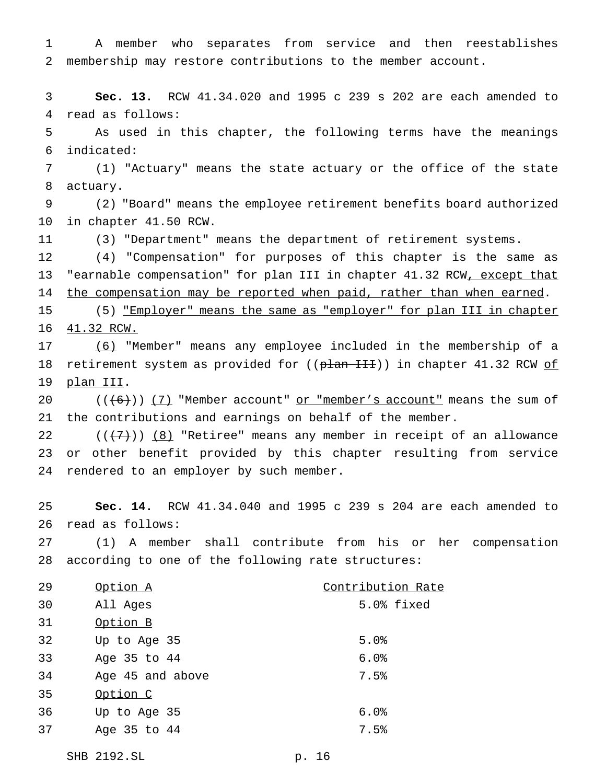A member who separates from service and then reestablishes membership may restore contributions to the member account.

 **Sec. 13.** RCW 41.34.020 and 1995 c 239 s 202 are each amended to read as follows:

 As used in this chapter, the following terms have the meanings indicated:

 (1) "Actuary" means the state actuary or the office of the state actuary.

 (2) "Board" means the employee retirement benefits board authorized in chapter 41.50 RCW.

(3) "Department" means the department of retirement systems.

 (4) "Compensation" for purposes of this chapter is the same as 13 "earnable compensation" for plan III in chapter 41.32 RCW, except that 14 the compensation may be reported when paid, rather than when earned.

 (5) "Employer" means the same as "employer" for plan III in chapter 41.32 RCW.

 (6) "Member" means any employee included in the membership of a 18 retirement system as provided for ((plan III)) in chapter 41.32 RCW of plan III.

20  $((+6))$   $(7)$  "Member account" or "member's account" means the sum of the contributions and earnings on behalf of the member.

22  $((+7))$   $(8)$  "Retiree" means any member in receipt of an allowance or other benefit provided by this chapter resulting from service rendered to an employer by such member.

 **Sec. 14.** RCW 41.34.040 and 1995 c 239 s 204 are each amended to read as follows:

 (1) A member shall contribute from his or her compensation according to one of the following rate structures:

| 29 | Option A         | Contribution Rate |
|----|------------------|-------------------|
| 30 | All Ages         | 5.0% fixed        |
| 31 | Option B         |                   |
| 32 | Up to Age 35     | 5.0%              |
| 33 | Age 35 to 44     | 6.0%              |
| 34 | Age 45 and above | 7.5%              |
| 35 | Option C         |                   |
| 36 | Up to Age 35     | 6.0%              |
| 37 | Age 35 to 44     | 7.5%              |
|    |                  |                   |

SHB 2192.SL p. 16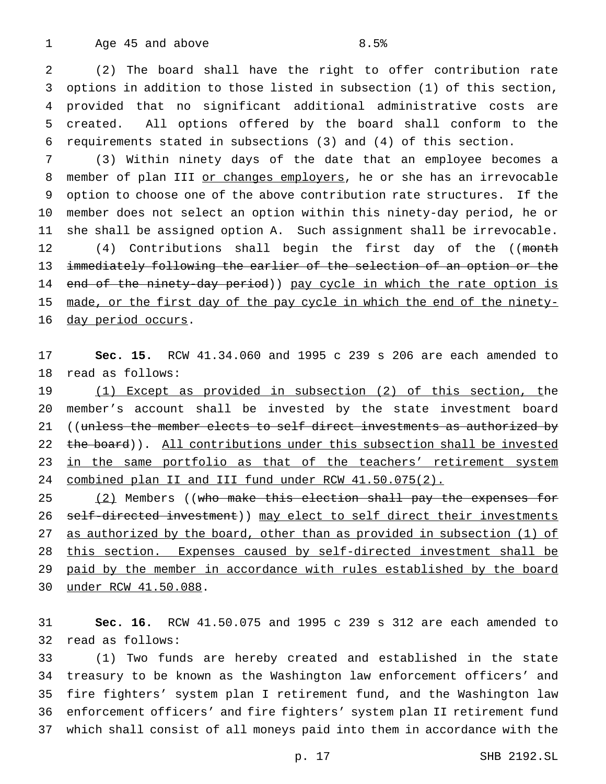1 Age 45 and above 8.5%

 (2) The board shall have the right to offer contribution rate options in addition to those listed in subsection (1) of this section, provided that no significant additional administrative costs are created. All options offered by the board shall conform to the requirements stated in subsections (3) and (4) of this section.

 (3) Within ninety days of the date that an employee becomes a 8 member of plan III or changes employers, he or she has an irrevocable option to choose one of the above contribution rate structures. If the member does not select an option within this ninety-day period, he or she shall be assigned option A. Such assignment shall be irrevocable. 12 (4) Contributions shall begin the first day of the ((month immediately following the earlier of the selection of an option or the 14 end of the ninety-day period)) pay cycle in which the rate option is made, or the first day of the pay cycle in which the end of the ninety-

16 day period occurs.

 **Sec. 15.** RCW 41.34.060 and 1995 c 239 s 206 are each amended to read as follows:

 (1) Except as provided in subsection (2) of this section, the member's account shall be invested by the state investment board 21 ((unless the member elects to self direct investments as authorized by 22 the board)). All contributions under this subsection shall be invested 23 in the same portfolio as that of the teachers' retirement system 24 combined plan II and III fund under RCW 41.50.075(2).

25 (2) Members ((who make this election shall pay the expenses for 26 self-directed investment)) may elect to self direct their investments 27 as authorized by the board, other than as provided in subsection (1) of this section. Expenses caused by self-directed investment shall be paid by the member in accordance with rules established by the board under RCW 41.50.088.

 **Sec. 16.** RCW 41.50.075 and 1995 c 239 s 312 are each amended to read as follows:

 (1) Two funds are hereby created and established in the state treasury to be known as the Washington law enforcement officers' and fire fighters' system plan I retirement fund, and the Washington law enforcement officers' and fire fighters' system plan II retirement fund which shall consist of all moneys paid into them in accordance with the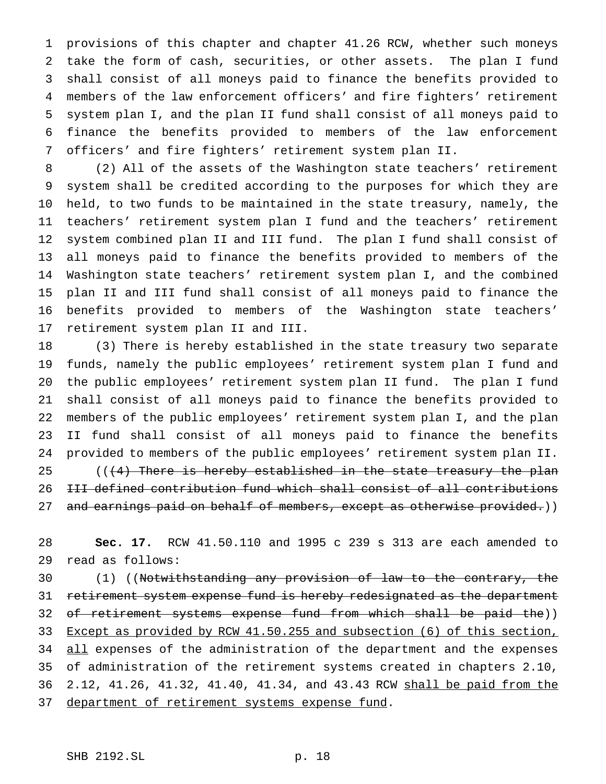provisions of this chapter and chapter 41.26 RCW, whether such moneys take the form of cash, securities, or other assets. The plan I fund shall consist of all moneys paid to finance the benefits provided to members of the law enforcement officers' and fire fighters' retirement system plan I, and the plan II fund shall consist of all moneys paid to finance the benefits provided to members of the law enforcement officers' and fire fighters' retirement system plan II.

 (2) All of the assets of the Washington state teachers' retirement system shall be credited according to the purposes for which they are held, to two funds to be maintained in the state treasury, namely, the teachers' retirement system plan I fund and the teachers' retirement system combined plan II and III fund. The plan I fund shall consist of all moneys paid to finance the benefits provided to members of the Washington state teachers' retirement system plan I, and the combined plan II and III fund shall consist of all moneys paid to finance the benefits provided to members of the Washington state teachers' retirement system plan II and III.

 (3) There is hereby established in the state treasury two separate funds, namely the public employees' retirement system plan I fund and the public employees' retirement system plan II fund. The plan I fund shall consist of all moneys paid to finance the benefits provided to members of the public employees' retirement system plan I, and the plan II fund shall consist of all moneys paid to finance the benefits provided to members of the public employees' retirement system plan II.  $($   $($   $($   $\frac{4}{2}$  There is hereby established in the state treasury the plan III defined contribution fund which shall consist of all contributions 27 and earnings paid on behalf of members, except as otherwise provided.))

 **Sec. 17.** RCW 41.50.110 and 1995 c 239 s 313 are each amended to read as follows:

30 (1) ((Notwithstanding any provision of law to the contrary, the 31 retirement system expense fund is hereby redesignated as the department 32 of retirement systems expense fund from which shall be paid the)) Except as provided by RCW 41.50.255 and subsection (6) of this section, 34 all expenses of the administration of the department and the expenses of administration of the retirement systems created in chapters 2.10, 2.12, 41.26, 41.32, 41.40, 41.34, and 43.43 RCW shall be paid from the 37 department of retirement systems expense fund.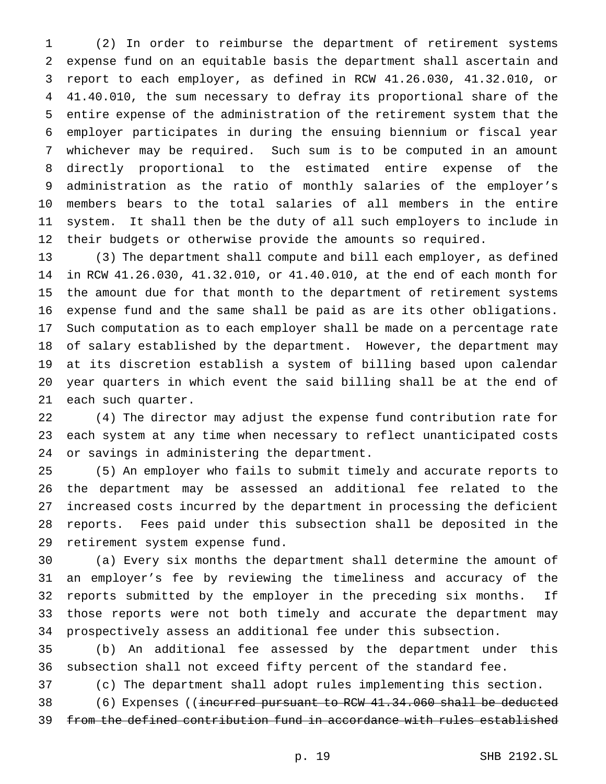(2) In order to reimburse the department of retirement systems expense fund on an equitable basis the department shall ascertain and report to each employer, as defined in RCW 41.26.030, 41.32.010, or 41.40.010, the sum necessary to defray its proportional share of the entire expense of the administration of the retirement system that the employer participates in during the ensuing biennium or fiscal year whichever may be required. Such sum is to be computed in an amount directly proportional to the estimated entire expense of the administration as the ratio of monthly salaries of the employer's members bears to the total salaries of all members in the entire system. It shall then be the duty of all such employers to include in their budgets or otherwise provide the amounts so required.

 (3) The department shall compute and bill each employer, as defined in RCW 41.26.030, 41.32.010, or 41.40.010, at the end of each month for the amount due for that month to the department of retirement systems expense fund and the same shall be paid as are its other obligations. Such computation as to each employer shall be made on a percentage rate of salary established by the department. However, the department may at its discretion establish a system of billing based upon calendar year quarters in which event the said billing shall be at the end of each such quarter.

 (4) The director may adjust the expense fund contribution rate for each system at any time when necessary to reflect unanticipated costs or savings in administering the department.

 (5) An employer who fails to submit timely and accurate reports to the department may be assessed an additional fee related to the increased costs incurred by the department in processing the deficient reports. Fees paid under this subsection shall be deposited in the retirement system expense fund.

 (a) Every six months the department shall determine the amount of an employer's fee by reviewing the timeliness and accuracy of the reports submitted by the employer in the preceding six months. If those reports were not both timely and accurate the department may prospectively assess an additional fee under this subsection.

 (b) An additional fee assessed by the department under this subsection shall not exceed fifty percent of the standard fee.

(c) The department shall adopt rules implementing this section.

 (6) Expenses ((incurred pursuant to RCW 41.34.060 shall be deducted from the defined contribution fund in accordance with rules established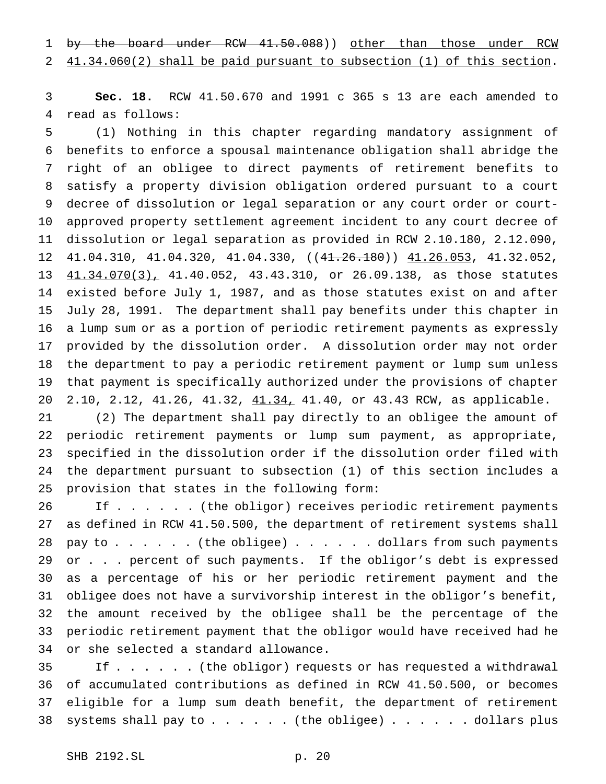1 by the board under RCW 41.50.088)) other than those under RCW 41.34.060(2) shall be paid pursuant to subsection (1) of this section.

 **Sec. 18.** RCW 41.50.670 and 1991 c 365 s 13 are each amended to read as follows:

 (1) Nothing in this chapter regarding mandatory assignment of benefits to enforce a spousal maintenance obligation shall abridge the right of an obligee to direct payments of retirement benefits to satisfy a property division obligation ordered pursuant to a court decree of dissolution or legal separation or any court order or court- approved property settlement agreement incident to any court decree of dissolution or legal separation as provided in RCW 2.10.180, 2.12.090, 41.04.310, 41.04.320, 41.04.330, ((41.26.180)) 41.26.053, 41.32.052,  $41.34.070(3)$ , 41.40.052, 43.43.310, or 26.09.138, as those statutes existed before July 1, 1987, and as those statutes exist on and after July 28, 1991. The department shall pay benefits under this chapter in a lump sum or as a portion of periodic retirement payments as expressly provided by the dissolution order. A dissolution order may not order the department to pay a periodic retirement payment or lump sum unless that payment is specifically authorized under the provisions of chapter 2.10, 2.12, 41.26, 41.32, 41.34, 41.40, or 43.43 RCW, as applicable.

 (2) The department shall pay directly to an obligee the amount of periodic retirement payments or lump sum payment, as appropriate, specified in the dissolution order if the dissolution order filed with the department pursuant to subsection (1) of this section includes a provision that states in the following form:

 If . . . . . . (the obligor) receives periodic retirement payments as defined in RCW 41.50.500, the department of retirement systems shall 28 pay to  $\ldots$  . . . . (the obligee)  $\ldots$  . . . . dollars from such payments 29 or . . . percent of such payments. If the obligor's debt is expressed as a percentage of his or her periodic retirement payment and the obligee does not have a survivorship interest in the obligor's benefit, the amount received by the obligee shall be the percentage of the periodic retirement payment that the obligor would have received had he or she selected a standard allowance.

 If . . . . . . (the obligor) requests or has requested a withdrawal of accumulated contributions as defined in RCW 41.50.500, or becomes eligible for a lump sum death benefit, the department of retirement 38 systems shall pay to  $\ldots$ .... (the obligee) ...... dollars plus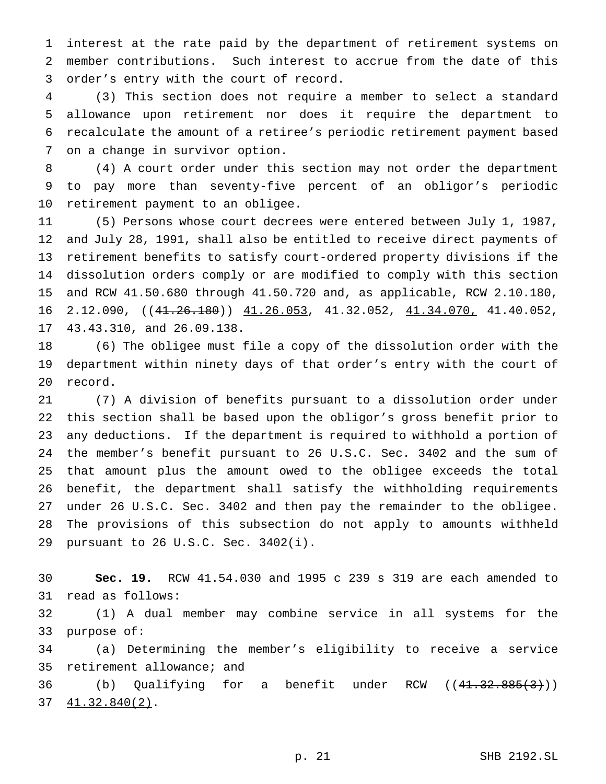interest at the rate paid by the department of retirement systems on member contributions. Such interest to accrue from the date of this order's entry with the court of record.

 (3) This section does not require a member to select a standard allowance upon retirement nor does it require the department to recalculate the amount of a retiree's periodic retirement payment based on a change in survivor option.

 (4) A court order under this section may not order the department to pay more than seventy-five percent of an obligor's periodic retirement payment to an obligee.

 (5) Persons whose court decrees were entered between July 1, 1987, and July 28, 1991, shall also be entitled to receive direct payments of retirement benefits to satisfy court-ordered property divisions if the dissolution orders comply or are modified to comply with this section and RCW 41.50.680 through 41.50.720 and, as applicable, RCW 2.10.180, 16 2.12.090,  $((41.26.180))$   $(1.26.053, 41.32.052, 41.34.070, 41.40.052,$ 43.43.310, and 26.09.138.

 (6) The obligee must file a copy of the dissolution order with the department within ninety days of that order's entry with the court of record.

 (7) A division of benefits pursuant to a dissolution order under this section shall be based upon the obligor's gross benefit prior to any deductions. If the department is required to withhold a portion of the member's benefit pursuant to 26 U.S.C. Sec. 3402 and the sum of that amount plus the amount owed to the obligee exceeds the total benefit, the department shall satisfy the withholding requirements under 26 U.S.C. Sec. 3402 and then pay the remainder to the obligee. The provisions of this subsection do not apply to amounts withheld pursuant to 26 U.S.C. Sec. 3402(i).

 **Sec. 19.** RCW 41.54.030 and 1995 c 239 s 319 are each amended to read as follows:

 (1) A dual member may combine service in all systems for the purpose of:

 (a) Determining the member's eligibility to receive a service retirement allowance; and

36 (b) Qualifying for a benefit under RCW ((41.32.885(3))) 41.32.840(2).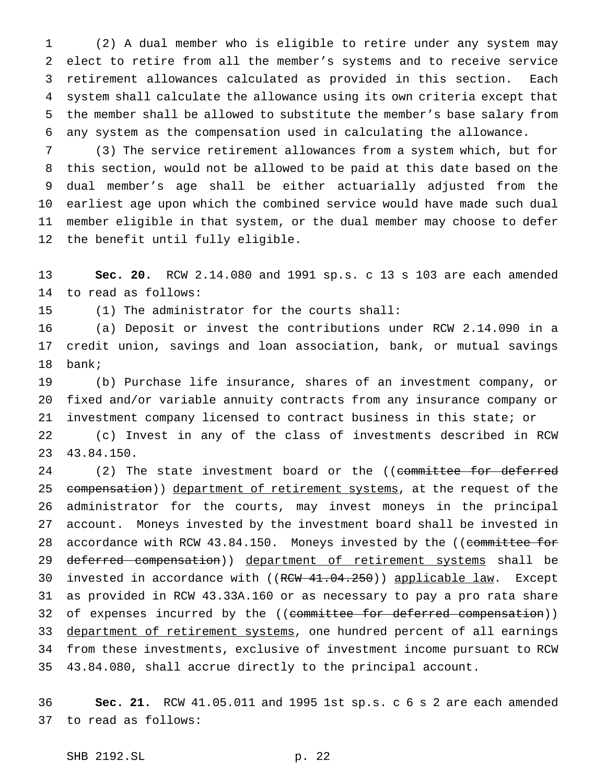(2) A dual member who is eligible to retire under any system may elect to retire from all the member's systems and to receive service retirement allowances calculated as provided in this section. Each system shall calculate the allowance using its own criteria except that the member shall be allowed to substitute the member's base salary from any system as the compensation used in calculating the allowance.

 (3) The service retirement allowances from a system which, but for this section, would not be allowed to be paid at this date based on the dual member's age shall be either actuarially adjusted from the earliest age upon which the combined service would have made such dual member eligible in that system, or the dual member may choose to defer the benefit until fully eligible.

 **Sec. 20.** RCW 2.14.080 and 1991 sp.s. c 13 s 103 are each amended to read as follows:

(1) The administrator for the courts shall:

 (a) Deposit or invest the contributions under RCW 2.14.090 in a credit union, savings and loan association, bank, or mutual savings bank;

 (b) Purchase life insurance, shares of an investment company, or fixed and/or variable annuity contracts from any insurance company or investment company licensed to contract business in this state; or

 (c) Invest in any of the class of investments described in RCW 43.84.150.

24 (2) The state investment board or the ((committee for deferred 25 compensation)) department of retirement systems, at the request of the administrator for the courts, may invest moneys in the principal account. Moneys invested by the investment board shall be invested in 28 accordance with RCW 43.84.150. Moneys invested by the ((committee for 29 deferred compensation)) department of retirement systems shall be 30 invested in accordance with ((RCW 41.04.250)) applicable law. Except as provided in RCW 43.33A.160 or as necessary to pay a pro rata share 32 of expenses incurred by the ((committee for deferred compensation)) 33 department of retirement systems, one hundred percent of all earnings from these investments, exclusive of investment income pursuant to RCW 43.84.080, shall accrue directly to the principal account.

 **Sec. 21.** RCW 41.05.011 and 1995 1st sp.s. c 6 s 2 are each amended to read as follows: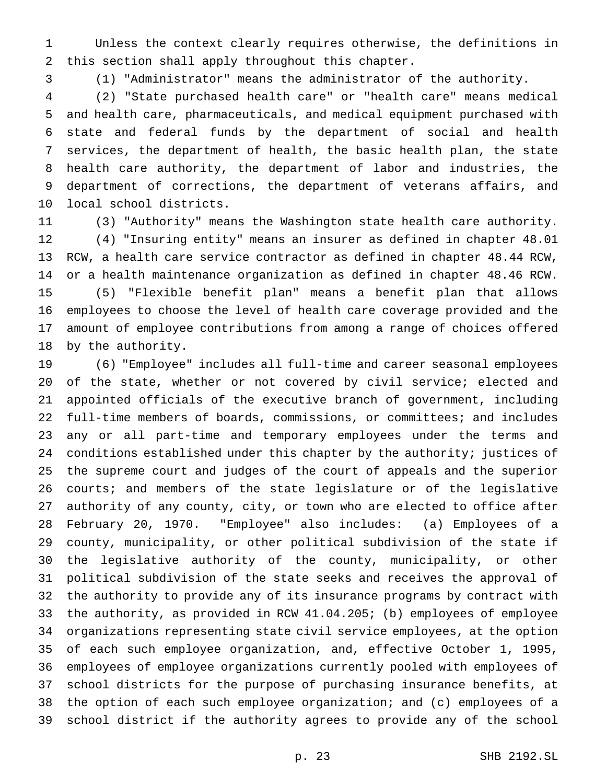Unless the context clearly requires otherwise, the definitions in this section shall apply throughout this chapter.

(1) "Administrator" means the administrator of the authority.

 (2) "State purchased health care" or "health care" means medical and health care, pharmaceuticals, and medical equipment purchased with state and federal funds by the department of social and health services, the department of health, the basic health plan, the state health care authority, the department of labor and industries, the department of corrections, the department of veterans affairs, and local school districts.

 (3) "Authority" means the Washington state health care authority. (4) "Insuring entity" means an insurer as defined in chapter 48.01 RCW, a health care service contractor as defined in chapter 48.44 RCW, or a health maintenance organization as defined in chapter 48.46 RCW. (5) "Flexible benefit plan" means a benefit plan that allows employees to choose the level of health care coverage provided and the amount of employee contributions from among a range of choices offered by the authority.

 (6) "Employee" includes all full-time and career seasonal employees 20 of the state, whether or not covered by civil service; elected and appointed officials of the executive branch of government, including full-time members of boards, commissions, or committees; and includes any or all part-time and temporary employees under the terms and conditions established under this chapter by the authority; justices of the supreme court and judges of the court of appeals and the superior courts; and members of the state legislature or of the legislative authority of any county, city, or town who are elected to office after February 20, 1970. "Employee" also includes: (a) Employees of a county, municipality, or other political subdivision of the state if the legislative authority of the county, municipality, or other political subdivision of the state seeks and receives the approval of the authority to provide any of its insurance programs by contract with the authority, as provided in RCW 41.04.205; (b) employees of employee organizations representing state civil service employees, at the option of each such employee organization, and, effective October 1, 1995, employees of employee organizations currently pooled with employees of school districts for the purpose of purchasing insurance benefits, at the option of each such employee organization; and (c) employees of a school district if the authority agrees to provide any of the school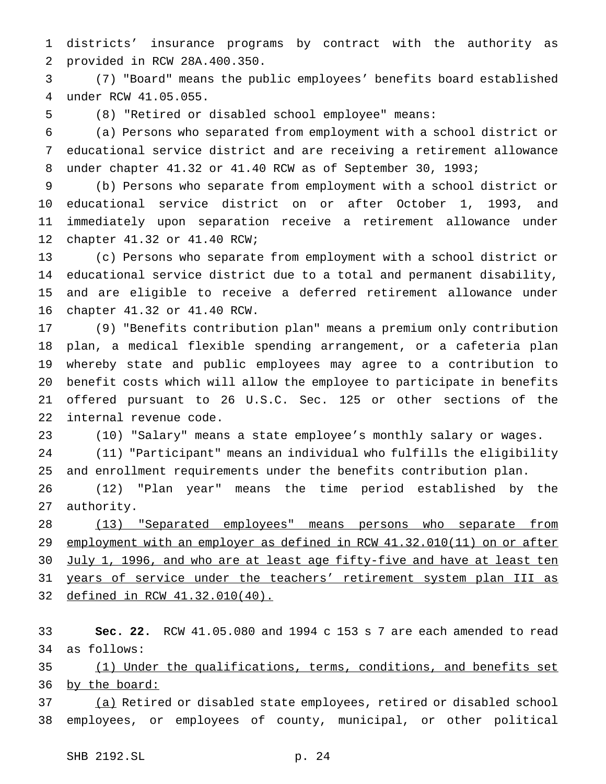districts' insurance programs by contract with the authority as provided in RCW 28A.400.350.

 (7) "Board" means the public employees' benefits board established under RCW 41.05.055.

(8) "Retired or disabled school employee" means:

 (a) Persons who separated from employment with a school district or educational service district and are receiving a retirement allowance under chapter 41.32 or 41.40 RCW as of September 30, 1993;

 (b) Persons who separate from employment with a school district or educational service district on or after October 1, 1993, and immediately upon separation receive a retirement allowance under chapter 41.32 or 41.40 RCW;

 (c) Persons who separate from employment with a school district or educational service district due to a total and permanent disability, and are eligible to receive a deferred retirement allowance under chapter 41.32 or 41.40 RCW.

 (9) "Benefits contribution plan" means a premium only contribution plan, a medical flexible spending arrangement, or a cafeteria plan whereby state and public employees may agree to a contribution to benefit costs which will allow the employee to participate in benefits offered pursuant to 26 U.S.C. Sec. 125 or other sections of the internal revenue code.

(10) "Salary" means a state employee's monthly salary or wages.

 (11) "Participant" means an individual who fulfills the eligibility and enrollment requirements under the benefits contribution plan.

 (12) "Plan year" means the time period established by the authority.

 (13) "Separated employees" means persons who separate from 29 employment with an employer as defined in RCW 41.32.010(11) on or after 30 July 1, 1996, and who are at least age fifty-five and have at least ten 31 years of service under the teachers' retirement system plan III as defined in RCW 41.32.010(40).

 **Sec. 22.** RCW 41.05.080 and 1994 c 153 s 7 are each amended to read as follows:

35 (1) Under the qualifications, terms, conditions, and benefits set 36 by the board:

 (a) Retired or disabled state employees, retired or disabled school employees, or employees of county, municipal, or other political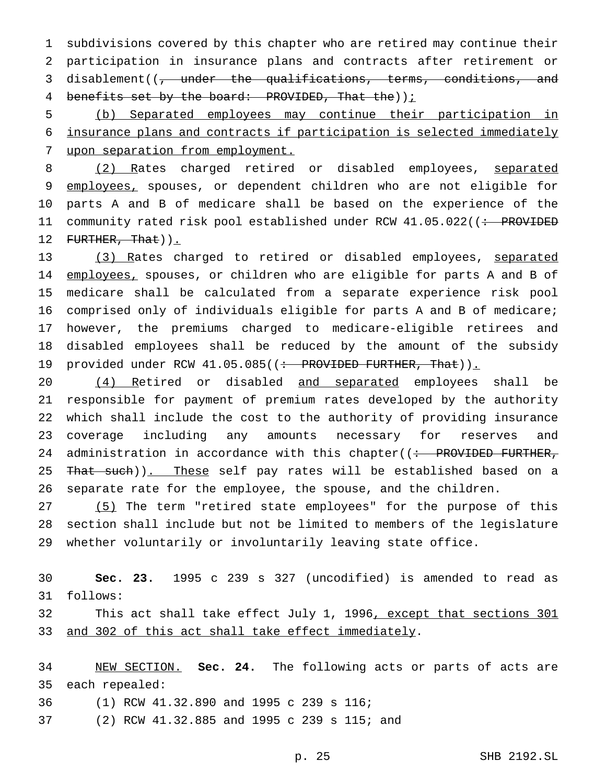subdivisions covered by this chapter who are retired may continue their participation in insurance plans and contracts after retirement or disablement((, under the qualifications, terms, conditions, and 4 benefits set by the board: PROVIDED, That the)  $i$ 

 (b) Separated employees may continue their participation in insurance plans and contracts if participation is selected immediately upon separation from employment.

8 (2) Rates charged retired or disabled employees, separated 9 employees, spouses, or dependent children who are not eligible for parts A and B of medicare shall be based on the experience of the 11 community rated risk pool established under RCW 41.05.022((: PROVIDED 12 FURTHER, That)).

 (3) Rates charged to retired or disabled employees, separated 14 employees, spouses, or children who are eligible for parts A and B of medicare shall be calculated from a separate experience risk pool comprised only of individuals eligible for parts A and B of medicare; however, the premiums charged to medicare-eligible retirees and disabled employees shall be reduced by the amount of the subsidy 19 provided under RCW 41.05.085((: PROVIDED FURTHER, That)).

20 (4) Retired or disabled and separated employees shall be responsible for payment of premium rates developed by the authority which shall include the cost to the authority of providing insurance coverage including any amounts necessary for reserves and 24 administration in accordance with this chapter( $\left( \div \right)$  PROVIDED FURTHER, 25 That such)). These self pay rates will be established based on a separate rate for the employee, the spouse, and the children.

 (5) The term "retired state employees" for the purpose of this section shall include but not be limited to members of the legislature whether voluntarily or involuntarily leaving state office.

 **Sec. 23.** 1995 c 239 s 327 (uncodified) is amended to read as follows:

32 This act shall take effect July 1, 1996, except that sections 301 33 and 302 of this act shall take effect immediately.

 NEW SECTION. **Sec. 24.** The following acts or parts of acts are each repealed:

- (1) RCW 41.32.890 and 1995 c 239 s 116;
- (2) RCW 41.32.885 and 1995 c 239 s 115; and